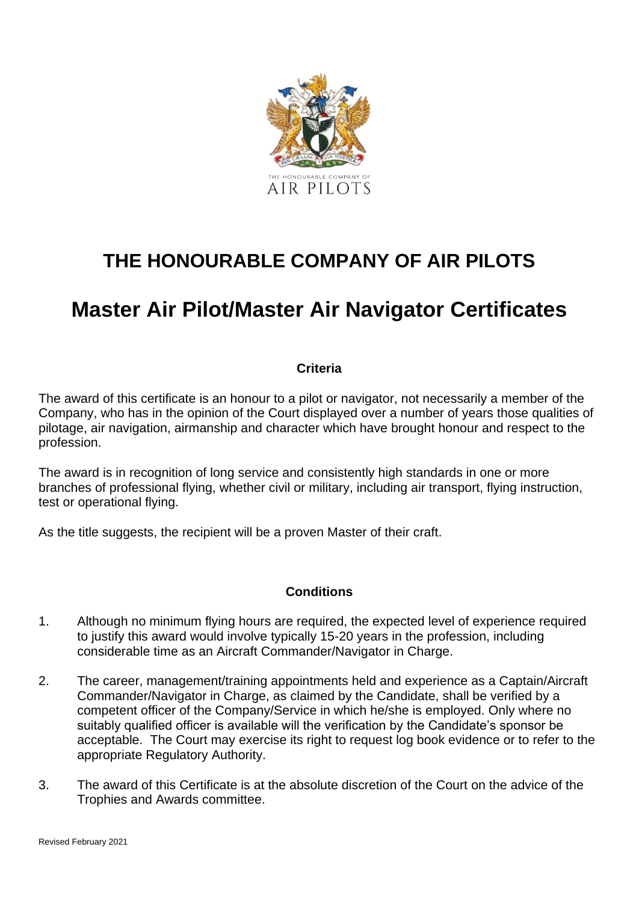

## **THE HONOURABLE COMPANY OF AIR PILOTS**

# **Master Air Pilot/Master Air Navigator Certificates**

#### **Criteria**

The award of this certificate is an honour to a pilot or navigator, not necessarily a member of the Company, who has in the opinion of the Court displayed over a number of years those qualities of pilotage, air navigation, airmanship and character which have brought honour and respect to the profession.

The award is in recognition of long service and consistently high standards in one or more branches of professional flying, whether civil or military, including air transport, flying instruction, test or operational flying.

As the title suggests, the recipient will be a proven Master of their craft.

#### **Conditions**

- 1. Although no minimum flying hours are required, the expected level of experience required to justify this award would involve typically 15-20 years in the profession, including considerable time as an Aircraft Commander/Navigator in Charge.
- 2. The career, management/training appointments held and experience as a Captain/Aircraft Commander/Navigator in Charge, as claimed by the Candidate, shall be verified by a competent officer of the Company/Service in which he/she is employed. Only where no suitably qualified officer is available will the verification by the Candidate's sponsor be acceptable. The Court may exercise its right to request log book evidence or to refer to the appropriate Regulatory Authority.
- 3. The award of this Certificate is at the absolute discretion of the Court on the advice of the Trophies and Awards committee.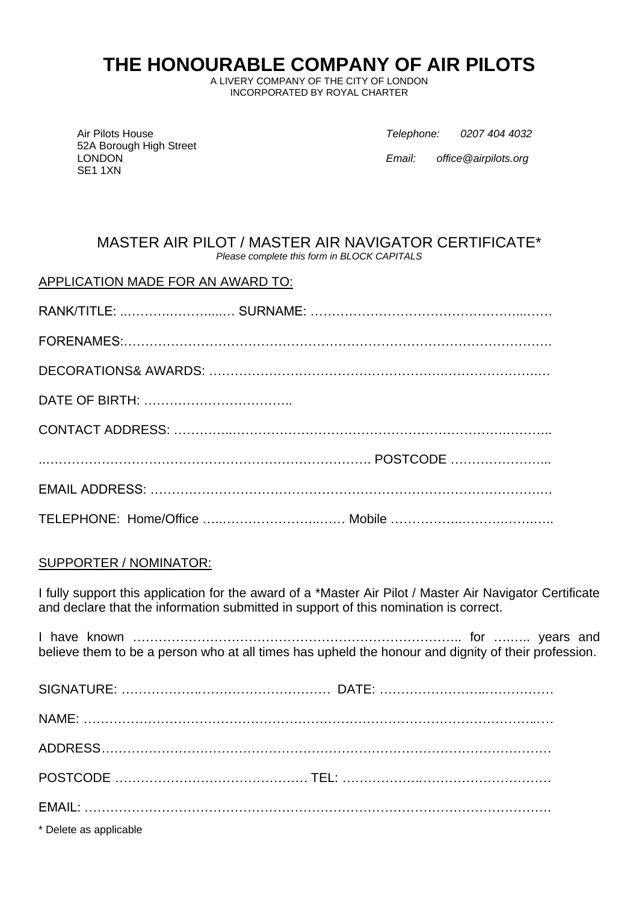## **THE HONOURABLE COMPANY OF AIR PILOTS**

A LIVERY COMPANY OF THE CITY OF LONDON INCORPORATED BY ROYAL CHARTER

52A Borough High Street SE1 1XN

Air Pilots House *Telephone: 0207 404 4032*

LONDON *Email: office@airpilots.org*

#### MASTER AIR PILOT / MASTER AIR NAVIGATOR CERTIFICATE\* *Please complete this form in BLOCK CAPITALS*

#### APPLICATION MADE FOR AN AWARD TO:

#### SUPPORTER / NOMINATOR:

I fully support this application for the award of a \*Master Air Pilot / Master Air Navigator Certificate and declare that the information submitted in support of this nomination is correct.

I have known ………………………………………………………………….. for ….….. years and believe them to be a person who at all times has upheld the honour and dignity of their profession.

| * Delete as applicable |  |
|------------------------|--|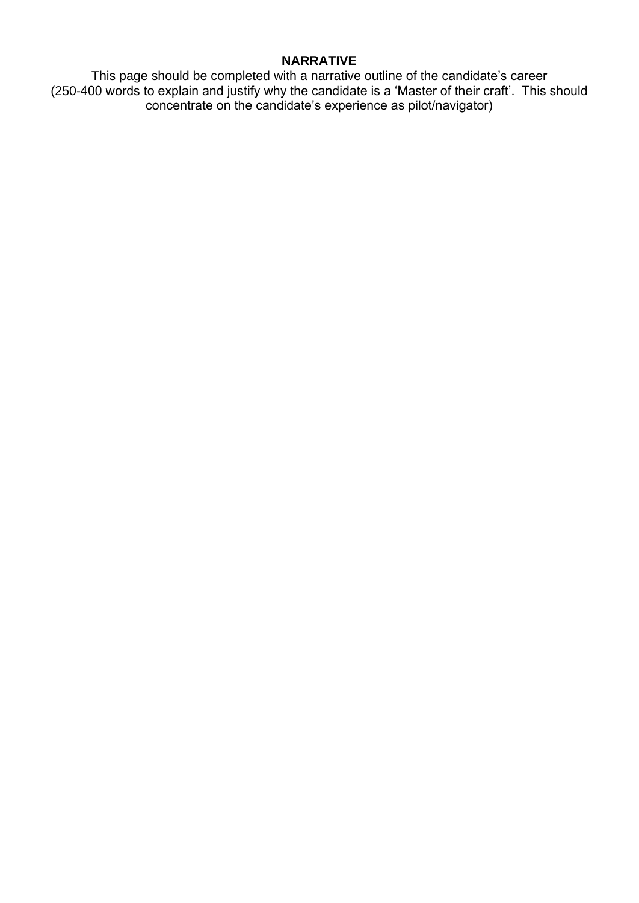#### **NARRATIVE**

This page should be completed with a narrative outline of the candidate's career (250-400 words to explain and justify why the candidate is a 'Master of their craft'. This should concentrate on the candidate's experience as pilot/navigator)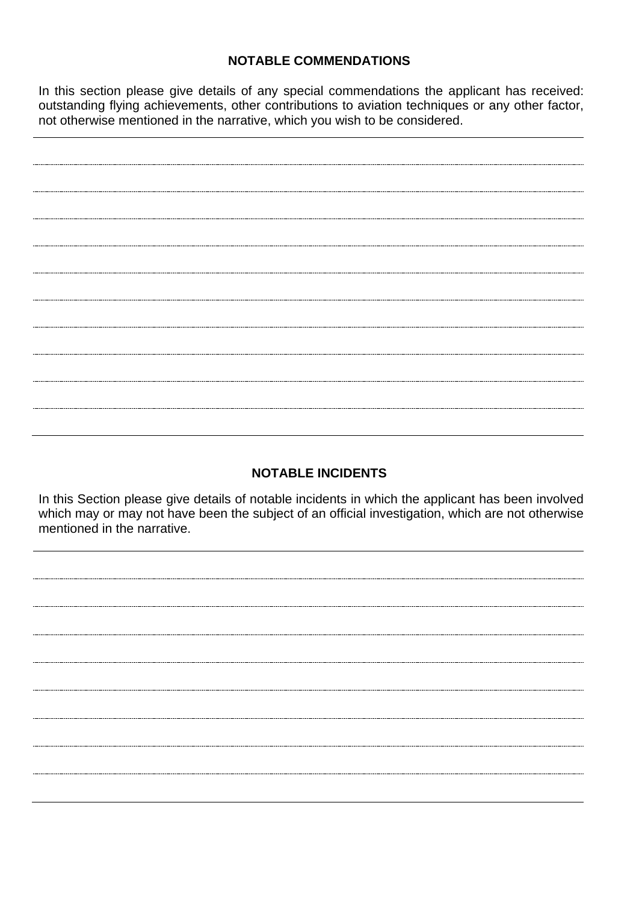#### **NOTABLE COMMENDATIONS**

In this section please give details of any special commendations the applicant has received: outstanding flying achievements, other contributions to aviation techniques or any other factor, not otherwise mentioned in the narrative, which you wish to be considered.

#### **NOTABLE INCIDENTS**

In this Section please give details of notable incidents in which the applicant has been involved which may or may not have been the subject of an official investigation, which are not otherwise mentioned in the narrative.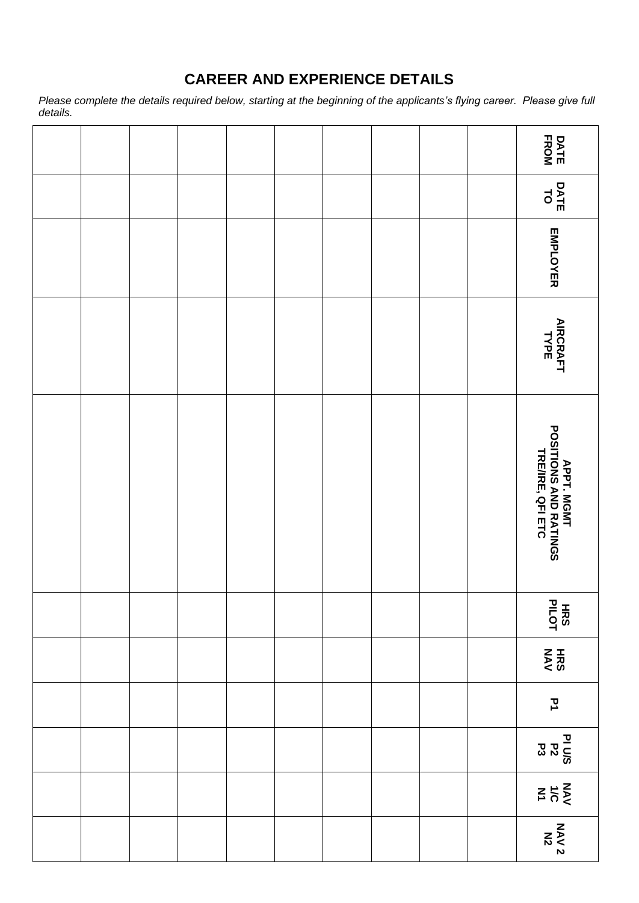### **CAREER AND EXPERIENCE DETAILS**

*Please complete the details required below, starting at the beginning of the applicants's flying career. Please give full details.*

|  |  |  |  |  | DATE<br>FROM                                                     |
|--|--|--|--|--|------------------------------------------------------------------|
|  |  |  |  |  | DATE<br>TO                                                       |
|  |  |  |  |  | EMPLOYER                                                         |
|  |  |  |  |  | <b>AIRCRAFT<br/>TYPE</b>                                         |
|  |  |  |  |  | <b>APPT, MGMT<br/>POSITIONS AND RATINGS<br/>TRE/IRE, QFI ETC</b> |
|  |  |  |  |  | <b>HRS</b>                                                       |
|  |  |  |  |  | HRS                                                              |
|  |  |  |  |  | $\mathbf{\bar{z}}$                                               |
|  |  |  |  |  | PI U/S<br>P 2<br>P 2<br>P 3                                      |
|  |  |  |  |  | $\leq \frac{1}{2}$                                               |
|  |  |  |  |  | <b>NAV 2<br/>NAV 2</b>                                           |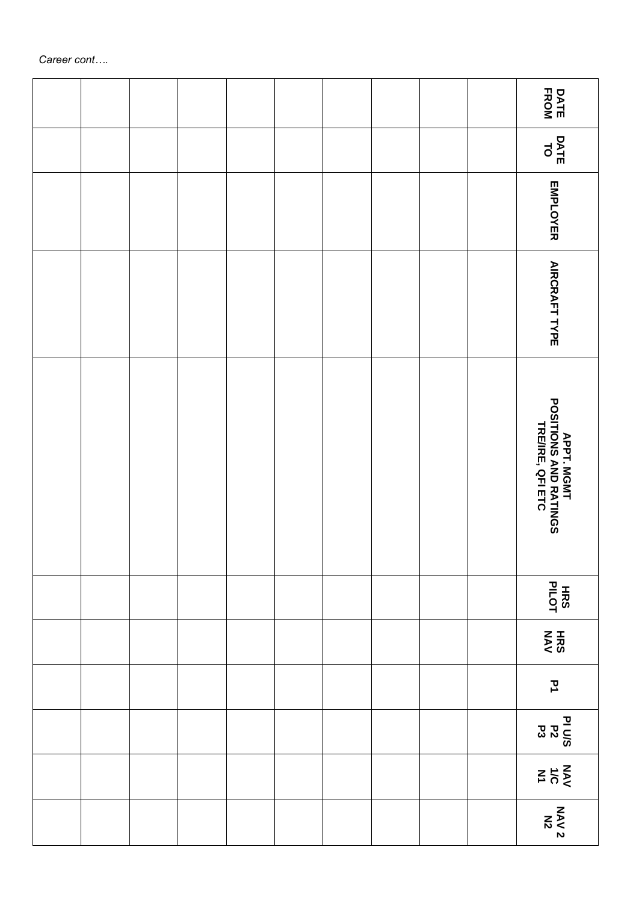|  |  |  |  |  | <b>DATE</b><br>FROM                                              |
|--|--|--|--|--|------------------------------------------------------------------|
|  |  |  |  |  | DATE<br>TO                                                       |
|  |  |  |  |  | EMPLOYER                                                         |
|  |  |  |  |  | <b>AIRCRAFT TYPE</b>                                             |
|  |  |  |  |  | <b>APPT, MGMT<br/>POSITIONS AND RATINGS<br/>TRE/IRE, QFI ETC</b> |
|  |  |  |  |  | <b>HRS</b><br>PILOT                                              |
|  |  |  |  |  | HRS                                                              |
|  |  |  |  |  | $\mathbf{\Sigma}$                                                |
|  |  |  |  |  | <u>n U/S</u><br>오요                                               |
|  |  |  |  |  | $rac{50}{50}$                                                    |
|  |  |  |  |  | <b>NAV 2<br/>NAV 2</b>                                           |

*Career cont….*